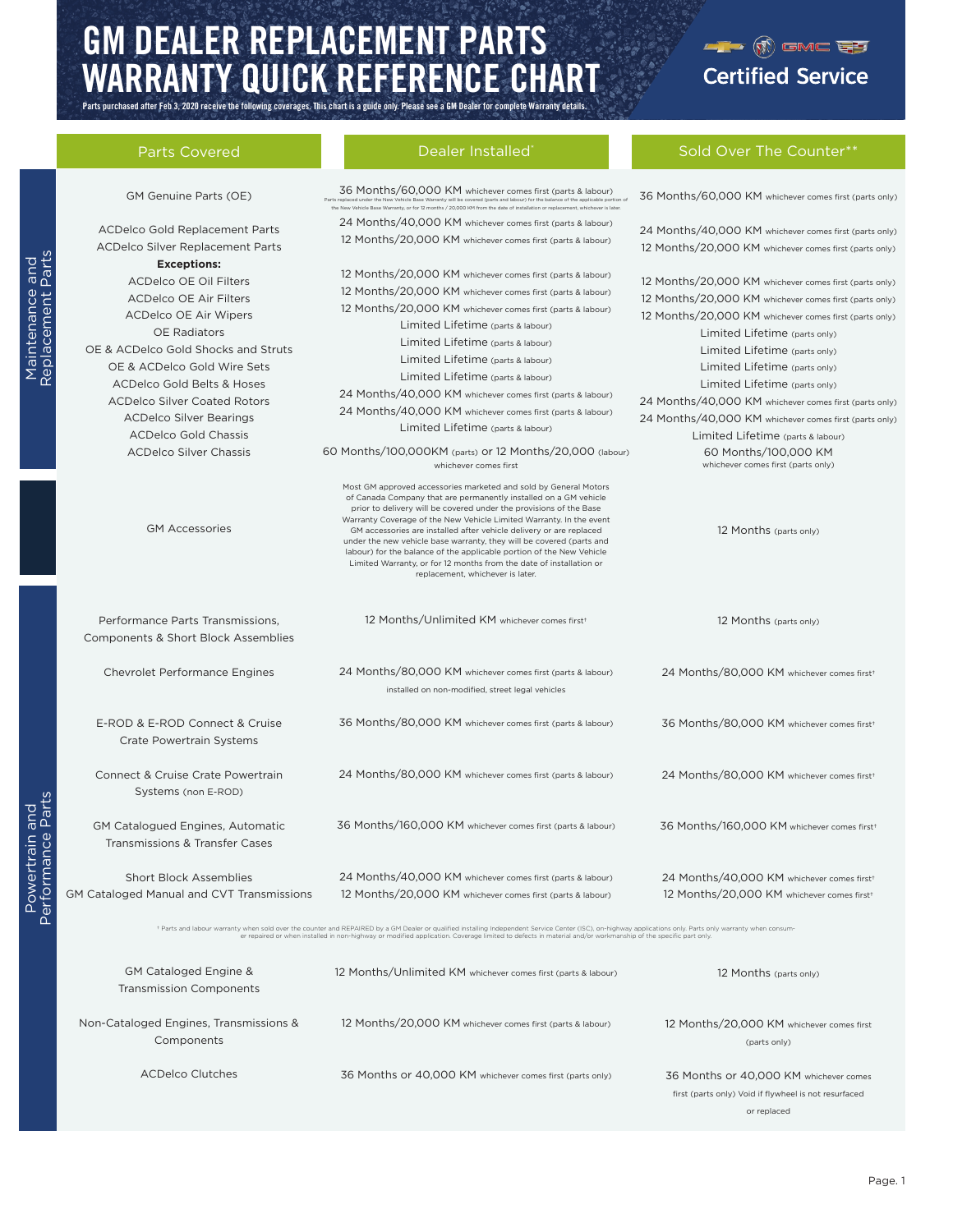# GM DEALER REPLACEMENT PARTS WARRANTY QUICK REFERENCE CHART

Parts purchased after Feb 3, 2020 receive the following coverages. This chart is a guide only. Please see a GM Dealer for complete Warranty details.

# $-1$  (i) GMC  $\overline{C}$ **Certified Service**

Sold Over The Count

| <b>Parts Covered</b> |
|----------------------|
|                      |

| <b>Parts Covered</b>                                                                                                                                                                                                                                                                                                                                                                                | Dealer Installed                                                                                                                                                                                                                                                                                                                                                                                                                                                                                                                                                                                                    | Sold Over The Counter**                                                                                                                                                                                                                                                                                                                                                                                                                                                                                                               |
|-----------------------------------------------------------------------------------------------------------------------------------------------------------------------------------------------------------------------------------------------------------------------------------------------------------------------------------------------------------------------------------------------------|---------------------------------------------------------------------------------------------------------------------------------------------------------------------------------------------------------------------------------------------------------------------------------------------------------------------------------------------------------------------------------------------------------------------------------------------------------------------------------------------------------------------------------------------------------------------------------------------------------------------|---------------------------------------------------------------------------------------------------------------------------------------------------------------------------------------------------------------------------------------------------------------------------------------------------------------------------------------------------------------------------------------------------------------------------------------------------------------------------------------------------------------------------------------|
| GM Genuine Parts (OE)                                                                                                                                                                                                                                                                                                                                                                               | 36 Months/60,000 KM whichever comes first (parts & labour)<br>Parts replaced under the New Vehicle Base Warranty will be covered (parts and labour) for the balance of the applicable portion of<br>the New Vehicle Base Warranty, or for 12 months / 20,000 KM from the date of installation or replacement, whichever is later.                                                                                                                                                                                                                                                                                   | 36 Months/60,000 KM whichever comes first (parts only)                                                                                                                                                                                                                                                                                                                                                                                                                                                                                |
| <b>ACDelco Gold Replacement Parts</b><br><b>ACDelco Silver Replacement Parts</b>                                                                                                                                                                                                                                                                                                                    | 24 Months/40,000 KM whichever comes first (parts & labour)<br>12 Months/20,000 KM whichever comes first (parts & labour)                                                                                                                                                                                                                                                                                                                                                                                                                                                                                            | 24 Months/40,000 KM whichever comes first (parts only)<br>12 Months/20,000 KM whichever comes first (parts only)                                                                                                                                                                                                                                                                                                                                                                                                                      |
| <b>Exceptions:</b><br><b>ACDelco OE Oil Filters</b><br><b>ACDelco OE Air Filters</b><br><b>ACDelco OE Air Wipers</b><br><b>OE</b> Radiators<br>OE & ACDelco Gold Shocks and Struts<br>OE & ACDelco Gold Wire Sets<br><b>ACDelco Gold Belts &amp; Hoses</b><br><b>ACDelco Silver Coated Rotors</b><br><b>ACDelco Silver Bearings</b><br><b>ACDelco Gold Chassis</b><br><b>ACDelco Silver Chassis</b> | 12 Months/20,000 KM whichever comes first (parts & labour)<br>12 Months/20,000 KM whichever comes first (parts & labour)<br>12 Months/20,000 KM whichever comes first (parts & labour)<br>Limited Lifetime (parts & labour)<br>Limited Lifetime (parts & labour)<br>Limited Lifetime (parts & labour)<br>Limited Lifetime (parts & labour)<br>24 Months/40,000 KM whichever comes first (parts & labour)<br>24 Months/40,000 KM whichever comes first (parts & labour)<br>Limited Lifetime (parts & labour)<br>60 Months/100,000KM (parts) or 12 Months/20,000 (labour)<br>whichever comes first                    | 12 Months/20,000 KM whichever comes first (parts only)<br>12 Months/20,000 KM whichever comes first (parts only)<br>12 Months/20,000 KM whichever comes first (parts only)<br>Limited Lifetime (parts only)<br>Limited Lifetime (parts only)<br>Limited Lifetime (parts only)<br>Limited Lifetime (parts only)<br>24 Months/40,000 KM whichever comes first (parts only)<br>24 Months/40,000 KM whichever comes first (parts only)<br>Limited Lifetime (parts & labour)<br>60 Months/100,000 KM<br>whichever comes first (parts only) |
| <b>GM Accessories</b>                                                                                                                                                                                                                                                                                                                                                                               | Most GM approved accessories marketed and sold by General Motors<br>of Canada Company that are permanently installed on a GM vehicle<br>prior to delivery will be covered under the provisions of the Base<br>Warranty Coverage of the New Vehicle Limited Warranty. In the event<br>GM accessories are installed after vehicle delivery or are replaced<br>under the new vehicle base warranty, they will be covered (parts and<br>labour) for the balance of the applicable portion of the New Vehicle<br>Limited Warranty, or for 12 months from the date of installation or<br>replacement, whichever is later. | 12 Months (parts only)                                                                                                                                                                                                                                                                                                                                                                                                                                                                                                                |
| Performance Parts Transmissions,<br><b>Components &amp; Short Block Assemblies</b>                                                                                                                                                                                                                                                                                                                  | 12 Months/Unlimited KM whichever comes first <sup>+</sup>                                                                                                                                                                                                                                                                                                                                                                                                                                                                                                                                                           | 12 Months (parts only)                                                                                                                                                                                                                                                                                                                                                                                                                                                                                                                |
| <b>Chevrolet Performance Engines</b>                                                                                                                                                                                                                                                                                                                                                                | 24 Months/80,000 KM whichever comes first (parts & labour)<br>installed on non-modified, street legal vehicles                                                                                                                                                                                                                                                                                                                                                                                                                                                                                                      | 24 Months/80,000 KM whichever comes first <sup>+</sup>                                                                                                                                                                                                                                                                                                                                                                                                                                                                                |
| E-ROD & E-ROD Connect & Cruise<br>Crate Powertrain Systems                                                                                                                                                                                                                                                                                                                                          | 36 Months/80,000 KM whichever comes first (parts & labour)                                                                                                                                                                                                                                                                                                                                                                                                                                                                                                                                                          | 36 Months/80,000 KM whichever comes first <sup>+</sup>                                                                                                                                                                                                                                                                                                                                                                                                                                                                                |
| Connect & Cruise Crate Powertrain<br>Systems (non E-ROD)                                                                                                                                                                                                                                                                                                                                            | 24 Months/80,000 KM whichever comes first (parts & labour)                                                                                                                                                                                                                                                                                                                                                                                                                                                                                                                                                          | 24 Months/80,000 KM whichever comes first <sup>+</sup>                                                                                                                                                                                                                                                                                                                                                                                                                                                                                |
| <b>GM Catalogued Engines, Automatic</b><br>Transmissions & Transfer Cases                                                                                                                                                                                                                                                                                                                           | 36 Months/160,000 KM whichever comes first (parts & labour)                                                                                                                                                                                                                                                                                                                                                                                                                                                                                                                                                         | 36 Months/160,000 KM whichever comes first <sup>+</sup>                                                                                                                                                                                                                                                                                                                                                                                                                                                                               |
| <b>Short Block Assemblies</b><br><b>GM Cataloged Manual and CVT Transmissions</b>                                                                                                                                                                                                                                                                                                                   | 24 Months/40,000 KM whichever comes first (parts & labour)<br>12 Months/20,000 KM whichever comes first (parts & labour)                                                                                                                                                                                                                                                                                                                                                                                                                                                                                            | 24 Months/40,000 KM whichever comes first <sup>+</sup><br>12 Months/20,000 KM whichever comes first <sup>+</sup>                                                                                                                                                                                                                                                                                                                                                                                                                      |
|                                                                                                                                                                                                                                                                                                                                                                                                     | + Parts and labour warranty when sold over the counter and REPAIRED by a GM Dealer or qualified installing Independent Service Center (ISC), on-highway applications only. Parts only warranty when consum-<br>er repaired or when installed in non-highway or modified application. Coverage limited to defects in material and/or workmanship of the specific part only.                                                                                                                                                                                                                                          |                                                                                                                                                                                                                                                                                                                                                                                                                                                                                                                                       |
| GM Cataloged Engine &<br><b>Transmission Components</b>                                                                                                                                                                                                                                                                                                                                             | 12 Months/Unlimited KM whichever comes first (parts & labour)                                                                                                                                                                                                                                                                                                                                                                                                                                                                                                                                                       | 12 Months (parts only)                                                                                                                                                                                                                                                                                                                                                                                                                                                                                                                |
| Non-Cataloged Engines, Transmissions &<br>Components                                                                                                                                                                                                                                                                                                                                                | 12 Months/20,000 KM whichever comes first (parts & labour)                                                                                                                                                                                                                                                                                                                                                                                                                                                                                                                                                          | 12 Months/20,000 KM whichever comes first<br>(parts only)                                                                                                                                                                                                                                                                                                                                                                                                                                                                             |
| <b>ACDelco Clutches</b>                                                                                                                                                                                                                                                                                                                                                                             | 36 Months or 40,000 KM whichever comes first (parts only)                                                                                                                                                                                                                                                                                                                                                                                                                                                                                                                                                           | 36 Months or 40,000 KM whichever comes<br>first (parts only) Void if flywheel is not resurfaced                                                                                                                                                                                                                                                                                                                                                                                                                                       |

or replaced